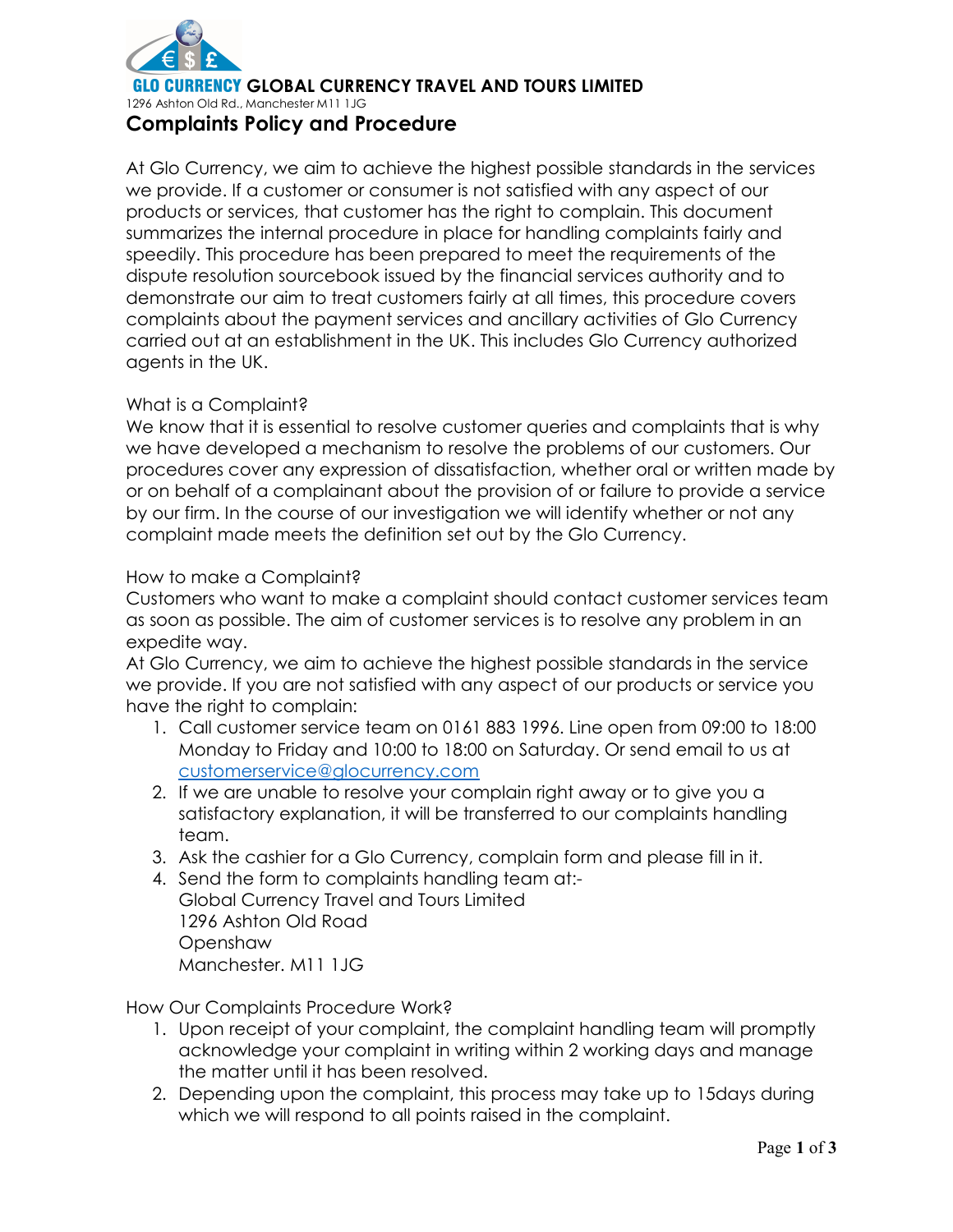

**CY GLOBAL CURRENCY TRAVEL AND TOURS LIMITED** 

1296 Ashton Old Rd., Manchester M11 1JG

# Complaints Policy and Procedure

At Glo Currency, we aim to achieve the highest possible standards in the services we provide. If a customer or consumer is not satisfied with any aspect of our products or services, that customer has the right to complain. This document summarizes the internal procedure in place for handling complaints fairly and speedily. This procedure has been prepared to meet the requirements of the dispute resolution sourcebook issued by the financial services authority and to demonstrate our aim to treat customers fairly at all times, this procedure covers complaints about the payment services and ancillary activities of Glo Currency carried out at an establishment in the UK. This includes Glo Currency authorized agents in the UK.

#### What is a Complaint?

We know that it is essential to resolve customer queries and complaints that is why we have developed a mechanism to resolve the problems of our customers. Our procedures cover any expression of dissatisfaction, whether oral or written made by or on behalf of a complainant about the provision of or failure to provide a service by our firm. In the course of our investigation we will identify whether or not any complaint made meets the definition set out by the Glo Currency.

## How to make a Complaint?

Customers who want to make a complaint should contact customer services team as soon as possible. The aim of customer services is to resolve any problem in an expedite way.

At Glo Currency, we aim to achieve the highest possible standards in the service we provide. If you are not satisfied with any aspect of our products or service you have the right to complain:

- 1. Call customer service team on 0161 883 1996. Line open from 09:00 to 18:00 Monday to Friday and 10:00 to 18:00 on Saturday. Or send email to us at customerservice@glocurrency.com
- 2. If we are unable to resolve your complain right away or to give you a satisfactory explanation, it will be transferred to our complaints handling team.
- 3. Ask the cashier for a Glo Currency, complain form and please fill in it.
- 4. Send the form to complaints handling team at:- Global Currency Travel and Tours Limited 1296 Ashton Old Road **Openshaw** Manchester. M11 1JG

How Our Complaints Procedure Work?

- 1. Upon receipt of your complaint, the complaint handling team will promptly acknowledge your complaint in writing within 2 working days and manage the matter until it has been resolved.
- 2. Depending upon the complaint, this process may take up to 15days during which we will respond to all points raised in the complaint.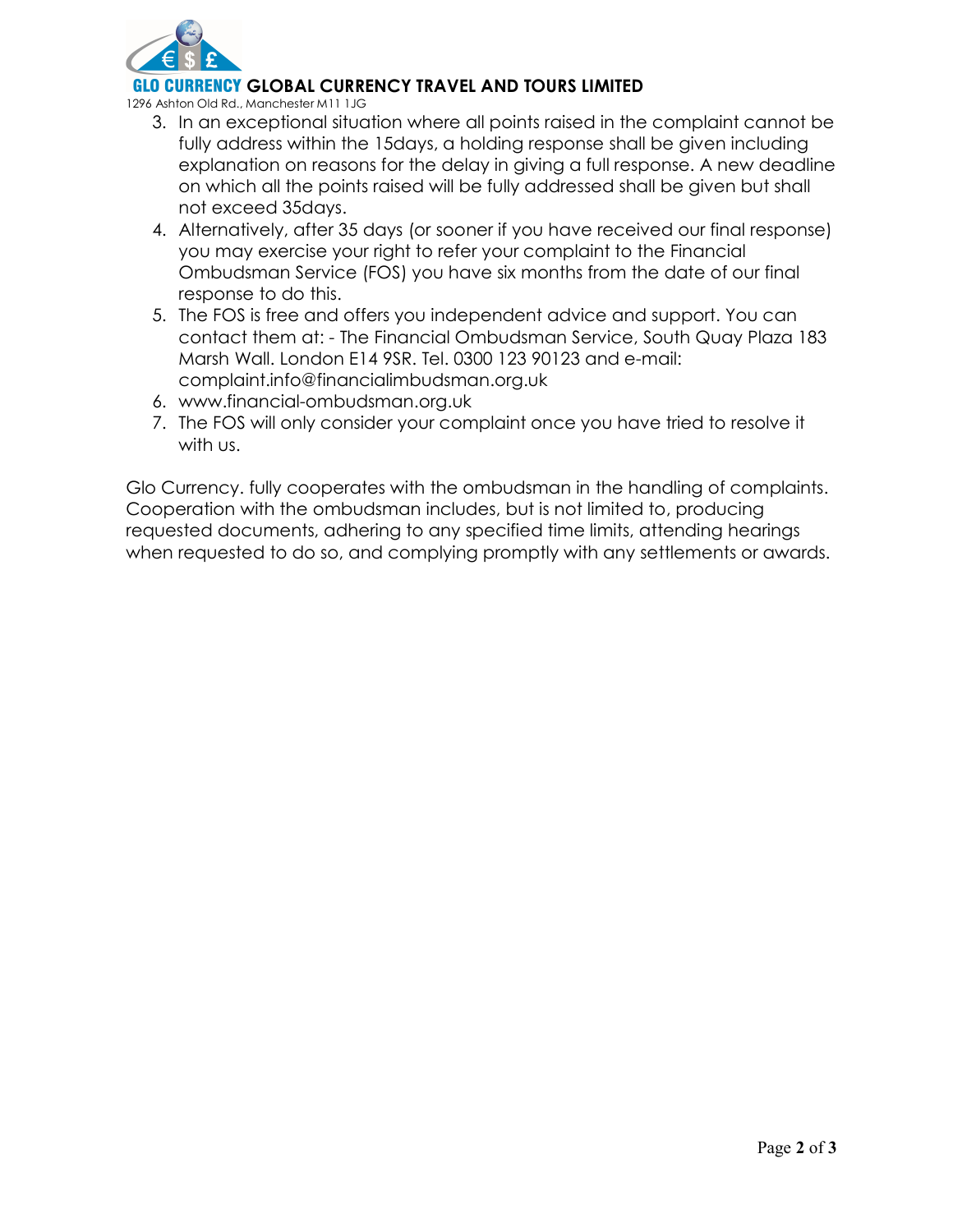

## **ENCY GLOBAL CURRENCY TRAVEL AND TOURS LIMITED**

1296 Ashton Old Rd., Manchester M11 1JG

- 3. In an exceptional situation where all points raised in the complaint cannot be fully address within the 15days, a holding response shall be given including explanation on reasons for the delay in giving a full response. A new deadline on which all the points raised will be fully addressed shall be given but shall not exceed 35days.
- 4. Alternatively, after 35 days (or sooner if you have received our final response) you may exercise your right to refer your complaint to the Financial Ombudsman Service (FOS) you have six months from the date of our final response to do this.
- 5. The FOS is free and offers you independent advice and support. You can contact them at: - The Financial Ombudsman Service, South Quay Plaza 183 Marsh Wall. London E14 9SR. Tel. 0300 123 90123 and e-mail: complaint.info@financialimbudsman.org.uk
- 6. www.financial-ombudsman.org.uk
- 7. The FOS will only consider your complaint once you have tried to resolve it with us.

Glo Currency. fully cooperates with the ombudsman in the handling of complaints. Cooperation with the ombudsman includes, but is not limited to, producing requested documents, adhering to any specified time limits, attending hearings when requested to do so, and complying promptly with any settlements or awards.